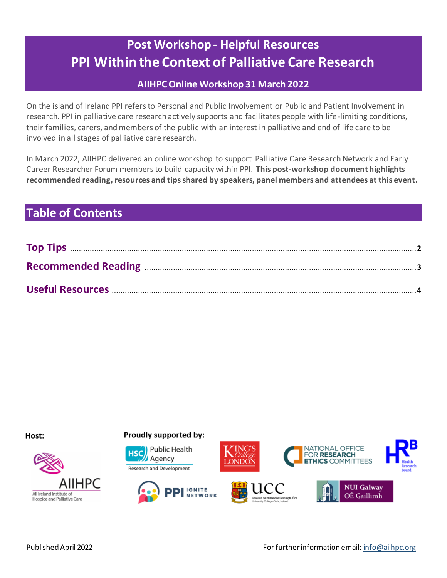# **Post Workshop - Helpful Resources PPI Within the Context of Palliative Care Research**

### **AIIHPC Online Workshop 31 March 2022**

On the island of Ireland PPI refers to Personal and Public Involvement or Public and Patient Involvement in research. PPI in palliative care research actively supports and facilitates people with life-limiting conditions, their families, carers, and members of the public with an interest in palliative and end of life care to be involved in all stages of palliative care research.

In March 2022, AIIHPC delivered an online workshop to support Palliative Care Research Network and Early Career Researcher Forum membersto build capacity within PPI. **This post-workshop document highlights recommended reading, resources and tipsshared by speakers, panel members and attendees at this event.** 

# **Table of Contents**

Host:



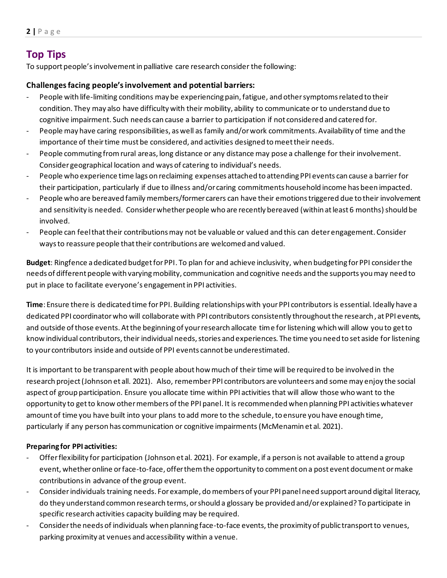## **Top Tips**

To support people'sinvolvement in palliative care research consider the following:

#### **Challenges facing people's involvement and potential barriers:**

- People with life-limiting conditions may be experiencing pain, fatigue, and other symptoms related to their condition. They may also have difficulty with their mobility, ability to communicate or to understand due to cognitive impairment. Such needs can cause a barrier to participation if not considered and catered for.
- People may have caring responsibilities, as well as family and/or work commitments. Availability of time and the importance of theirtime must be considered, and activities designed to meet their needs.
- People commuting from rural areas, long distance or any distance may pose a challenge for their involvement. Consider geographical location and ways of catering to individual's needs.
- People who experience time lags on reclaiming expenses attached to attending PPI events can cause a barrier for their participation, particularly if due to illness and/or caring commitments household income has been impacted.
- People who are bereaved family members/former carers can have their emotions triggered due to their involvement and sensitivity is needed. Consider whether people who are recently bereaved (within at least 6 months) should be involved.
- People can feel that their contributions may not be valuable or valued and this can deter engagement. Consider ways to reassure people that their contributions are welcomed and valued.

**Budget**: Ringfence a dedicated budget for PPI. To plan for and achieve inclusivity, when budgeting for PPI considerthe needs of different people with varying mobility, communication and cognitive needs and the supports you may need to put in place to facilitate everyone's engagement in PPI activities.

**Time**: Ensure there is dedicated time for PPI. Building relationships with your PPI contributors is essential. Ideally have a dedicated PPI coordinator who will collaborate with PPI contributors consistently throughout the research, at PPI events, and outside of those events. At the beginning of your research allocate time for listening which will allow you to get to know individual contributors, their individual needs, stories and experiences. The time you need to set aside for listening to your contributors inside and outside of PPI events cannot be underestimated.

It is important to be transparent with people about how much of their time will be required to be involved in the research project (Johnson et all. 2021). Also, remember PPI contributors are volunteers and some may enjoy the social aspect of group participation. Ensure you allocate time within PPI activities that will allow those who want to the opportunity to get to know other members of the PPI panel. It is recommended when planning PPI activities whatever amount of time you have built into your plans to add more to the schedule, to ensure you have enough time, particularly if any person has communication or cognitive impairments(McMenamin et al. 2021).

#### **Preparing for PPI activities:**

- Offer flexibility for participation (Johnson et al. 2021). For example, if a person is not available to attend a group event, whetheronline or face-to-face, offer them the opportunity to comment on a post event document ormake contributions in advance of the group event.
- Consider individuals training needs. For example, do members of your PPI panel need support around digital literacy, do they understand common research terms, or should a glossary be provided and/or explained? To participate in specific research activities capacity building may be required.
- Consider the needs of individuals when planning face-to-face events, the proximity of public transport to venues, parking proximity at venues and accessibility within a venue.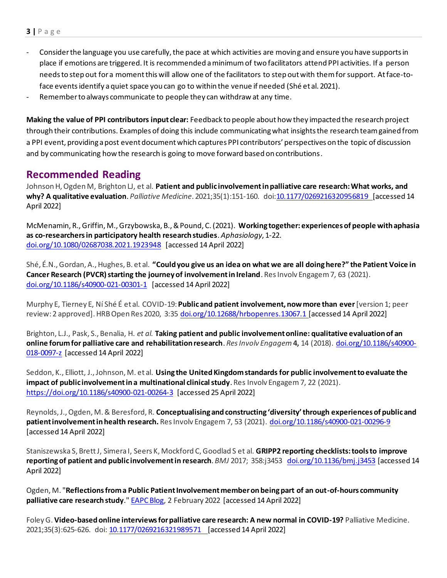- Consider the language you use carefully, the pace at which activities are moving and ensure you have supports in place if emotions are triggered. It is recommended a minimum of two facilitators attend PPI activities. If a person needs to step out for a moment this will allow one of the facilitators to step out with them for support. At face-toface events identify a quiet space you can go to within the venue if needed (Shé et al. 2021).
- Remember to always communicate to people they can withdraw at any time.

**Making the value of PPI contributors input clear:** Feedback to people about how they impacted the research project through their contributions. Examples of doing this include communicating what insights the research team gained from a PPI event, providing a post event document which captures PPI contributors' perspectives on the topic of discussion and by communicating how the research is going to move forward based on contributions.

### **Recommended Reading**

Johnson H, Ogden M, Brighton LJ, et al. Patient and public involvement in palliative care research: What works, and **why? A qualitative evaluation**. *Palliative Medicine*. 2021;35(1):151-160. do[i:10.1177/0269216320956819](https://doi.org/10.1177/0269216320956819) [accessed 14 April 2022]

McMenamin, R., Griffin, M., Grzybowska, B., & Pound, C. (2021). **Working together: experiences of people with aphasia as co-researchers in participatory health research studies**. *Aphasiology*, 1-22. [doi.org/10.1080/02687038.2021.1923948](https://doi.org/10.1080/02687038.2021.1923948) [accessed 14 April 2022]

Shé, É.N., Gordan, A., Hughes, B. et al. **"Could you give us an idea on what we are all doing here?" the Patient Voice in Cancer Research (PVCR) starting the journey of involvement in Ireland**. Res Involv Engagem 7, 63 (2021). [doi.org/10.1186/s40900-021-00301-1](https://doi.org/10.1186/s40900-021-00301-1) [accessed 14 April 2022]

Murphy E, Tierney E, Ní Shé É et al. COVID-19: **Public and patient involvement, now more than ever** [version 1; peer review: 2 approved]. HRB Open Res 2020, 3:35 [doi.org/10.12688/hrbopenres.13067.1](https://doi.org/10.12688/hrbopenres.13067.1) [accessed 14 April 2022]

Brighton, L.J., Pask, S., Benalia, H. *et al.* **Taking patient and public involvement online: qualitative evaluation of an online forum for palliative care and rehabilitation research**. *Res Involv Engagem* **4,** 14 (2018)[. doi.org/10.1186/s40900-](https://doi.org/10.1186/s40900-018-0097-z) [018-0097-z](https://doi.org/10.1186/s40900-018-0097-z) [accessed 14 April 2022]

Seddon, K., Elliott, J., Johnson, M. et al. **Using the United Kingdom standards for public involvement to evaluate the impact of public involvement in a multinational clinical study**. Res Involv Engagem7, 22 (2021). <https://doi.org/10.1186/s40900-021-00264-3> [accessed 25 April 2022]

Reynolds, J., Ogden, M. & Beresford, R. **Conceptualising and constructing 'diversity' through experiences of public and patient involvement in health research.** Res Involv Engagem 7, 53 (2021)[. doi.org/10.1186/s40900-021-00296-9](https://doi.org/10.1186/s40900-021-00296-9) [accessed 14 April 2022]

Staniszewska S, BrettJ, Simera I, Seers K, Mockford C,Goodlad S et al. **GRIPP2 reporting checklists: tools to improve reporting of patient and public involvement in research**. *BMJ* 2017; 358:j3453 [doi.org/10.1136/bmj.j3453](https://doi.org/10.1136/bmj.j3453) [accessed 14 April 2022]

Ogden, M. "**Reflections from a Public Patient Involvement member on being part of an out-of-hours community palliative care research study**." [EAPC Blog,](https://eapcnet.wordpress.com/2022/02/02/reflections-from-a-public-patient-involvement-member-on-being-part-of-an-out-of-hours-community-palliative-care-research-study/) 2 February 2022 [accessed 14 April 2022]

Foley G. **Video-based online interviews for palliative care research: A new normal in COVID-19?** Palliative Medicine. 2021;35(3):625-626. doi: [10.1177/0269216321989571](https://doi.org/10.1177/0269216321989571) [accessed 14 April 2022]